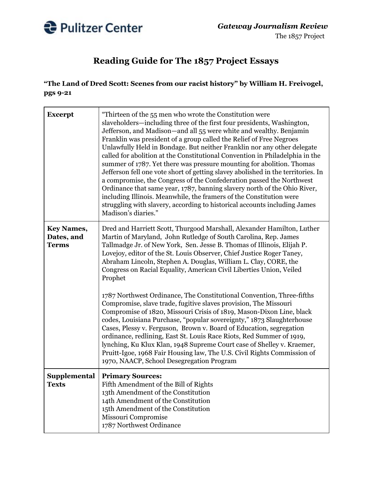

## **Reading Guide for The 1857 Project Essays**

## **"The Land of Dred Scott: Scenes from our racist history" by William H. Freivogel, pgs 9-21**

| <b>Excerpt</b>                                  | "Thirteen of the 55 men who wrote the Constitution were<br>slaveholders—including three of the first four presidents, Washington,<br>Jefferson, and Madison-and all 55 were white and wealthy. Benjamin<br>Franklin was president of a group called the Relief of Free Negroes<br>Unlawfully Held in Bondage. But neither Franklin nor any other delegate<br>called for abolition at the Constitutional Convention in Philadelphia in the<br>summer of 1787. Yet there was pressure mounting for abolition. Thomas<br>Jefferson fell one vote short of getting slavey abolished in the territories. In<br>a compromise, the Congress of the Confederation passed the Northwest<br>Ordinance that same year, 1787, banning slavery north of the Ohio River,<br>including Illinois. Meanwhile, the framers of the Constitution were<br>struggling with slavery, according to historical accounts including James<br>Madison's diaries."                                                                                                                                                            |
|-------------------------------------------------|--------------------------------------------------------------------------------------------------------------------------------------------------------------------------------------------------------------------------------------------------------------------------------------------------------------------------------------------------------------------------------------------------------------------------------------------------------------------------------------------------------------------------------------------------------------------------------------------------------------------------------------------------------------------------------------------------------------------------------------------------------------------------------------------------------------------------------------------------------------------------------------------------------------------------------------------------------------------------------------------------------------------------------------------------------------------------------------------------|
| <b>Key Names,</b><br>Dates, and<br><b>Terms</b> | Dred and Harriett Scott, Thurgood Marshall, Alexander Hamilton, Luther<br>Martin of Maryland, John Rutledge of South Carolina, Rep. James<br>Tallmadge Jr. of New York, Sen. Jesse B. Thomas of Illinois, Elijah P.<br>Lovejoy, editor of the St. Louis Observer, Chief Justice Roger Taney,<br>Abraham Lincoln, Stephen A. Douglas, William L. Clay, CORE, the<br>Congress on Racial Equality, American Civil Liberties Union, Veiled<br>Prophet<br>1787 Northwest Ordinance, The Constitutional Convention, Three-fifths<br>Compromise, slave trade, fugitive slaves provision, The Missouri<br>Compromise of 1820, Missouri Crisis of 1819, Mason-Dixon Line, black<br>codes, Louisiana Purchase, "popular sovereignty," 1873 Slaughterhouse<br>Cases, Plessy v. Ferguson, Brown v. Board of Education, segregation<br>ordinance, redlining, East St. Louis Race Riots, Red Summer of 1919,<br>lynching, Ku Klux Klan, 1948 Supreme Court case of Shelley v. Kraemer,<br>Pruitt-Igoe, 1968 Fair Housing law, The U.S. Civil Rights Commission of<br>1970, NAACP, School Desegregation Program |
| Supplemental<br><b>Texts</b>                    | <b>Primary Sources:</b><br>Fifth Amendment of the Bill of Rights<br>13th Amendment of the Constitution<br>14th Amendment of the Constitution<br>15th Amendment of the Constitution<br>Missouri Compromise<br>1787 Northwest Ordinance                                                                                                                                                                                                                                                                                                                                                                                                                                                                                                                                                                                                                                                                                                                                                                                                                                                            |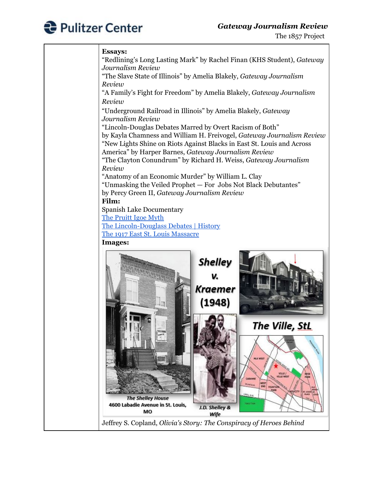

## *Gateway Journalism Review*

## **Essays:**

"Redlining's Long Lasting Mark" by Rachel Finan (KHS Student), *Gateway Journalism Review* "The Slave State of Illinois" by Amelia Blakely, *Gateway Journalism Review* "A Family's Fight for Freedom" by Amelia Blakely, *Gateway Journalism Review* "Underground Railroad in Illinois" by Amelia Blakely, *Gateway Journalism Review* "Lincoln-Douglas Debates Marred by Overt Racism of Both" by Kayla Chamness and William H. Freivogel, *Gateway Journalism Review* "New Lights Shine on Riots Against Blacks in East St. Louis and Across America" by Harper Barnes, *Gateway Journalism Review* "The Clayton Conundrum" by Richard H. Weiss, *Gateway Journalism Review* "Anatomy of an Economic Murder" by William L. Clay "Unmasking the Veiled Prophet — For Jobs Not Black Debutantes" by Percy Green II, *Gateway Journalism Review* **Film:** Spanish Lake Documentary The [Pruitt](https://vimeo.com/428857084) Igoe Myth The [Lincoln-Douglass](https://youtu.be/LljCzkPasuk) Debates | History The 1917 East St. Louis [Massacre](https://youtu.be/OOl5KKYnFck) **Images: Shelley** v. **Kraemer** (1948) The Ville, StL **VILLE /**<br>VILLE WEST **The Shelley House** 4600 Labadie Avenue in St. Louis, J.D. Shelley & MO Wife Jeffrey S. Copland, *Olivia's Story: The Conspiracy of Heroes Behind*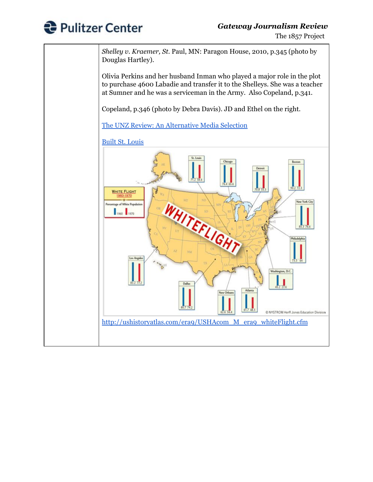

The 1857 Project

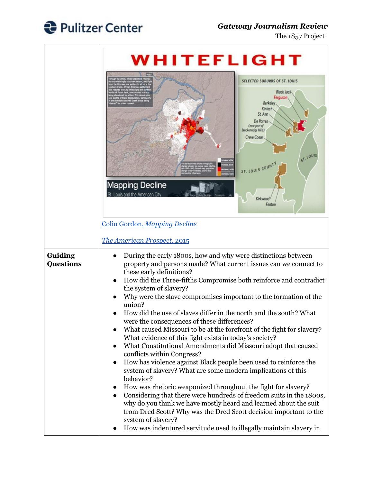

The 1857 Project

|                             | WHITEFLIGHT                                                                                                                                                                                                                                                                                                                                                                                                                                                                                                                                                                                                                                                                                                                                                                                                                                                                                                                                                                                                                                                                                                                                                                                                                                              |
|-----------------------------|----------------------------------------------------------------------------------------------------------------------------------------------------------------------------------------------------------------------------------------------------------------------------------------------------------------------------------------------------------------------------------------------------------------------------------------------------------------------------------------------------------------------------------------------------------------------------------------------------------------------------------------------------------------------------------------------------------------------------------------------------------------------------------------------------------------------------------------------------------------------------------------------------------------------------------------------------------------------------------------------------------------------------------------------------------------------------------------------------------------------------------------------------------------------------------------------------------------------------------------------------------|
|                             | <b>SELECTED SUBURBS OF ST. LOUIS</b><br><b>Black Jack</b><br>Ferguson<br>Berkeley<br>Kinloch<br>St Ann<br>De Porres<br>(now part of<br>Breckenridge Hills)<br>Creve Coeur<br>ST. LOUIS<br>ST. LOUIS COUNT<br><b>Mapping Decline</b><br>St. Louis and the American City<br>Kirkwood<br>Fenton                                                                                                                                                                                                                                                                                                                                                                                                                                                                                                                                                                                                                                                                                                                                                                                                                                                                                                                                                             |
|                             | Colin Gordon, Mapping Decline                                                                                                                                                                                                                                                                                                                                                                                                                                                                                                                                                                                                                                                                                                                                                                                                                                                                                                                                                                                                                                                                                                                                                                                                                            |
|                             | The American Prospect, 2015                                                                                                                                                                                                                                                                                                                                                                                                                                                                                                                                                                                                                                                                                                                                                                                                                                                                                                                                                                                                                                                                                                                                                                                                                              |
| Guiding<br><b>Questions</b> | During the early 1800s, how and why were distinctions between<br>property and persons made? What current issues can we connect to<br>these early definitions?<br>How did the Three-fifths Compromise both reinforce and contradict<br>the system of slavery?<br>Why were the slave compromises important to the formation of the<br>union?<br>How did the use of slaves differ in the north and the south? What<br>were the consequences of these differences?<br>What caused Missouri to be at the forefront of the fight for slavery?<br>What evidence of this fight exists in today's society?<br>What Constitutional Amendments did Missouri adopt that caused<br>conflicts within Congress?<br>How has violence against Black people been used to reinforce the<br>$\bullet$<br>system of slavery? What are some modern implications of this<br>behavior?<br>How was rhetoric weaponized throughout the fight for slavery?<br>Considering that there were hundreds of freedom suits in the 1800s,<br>$\bullet$<br>why do you think we have mostly heard and learned about the suit<br>from Dred Scott? Why was the Dred Scott decision important to the<br>system of slavery?<br>How was indentured servitude used to illegally maintain slavery in |